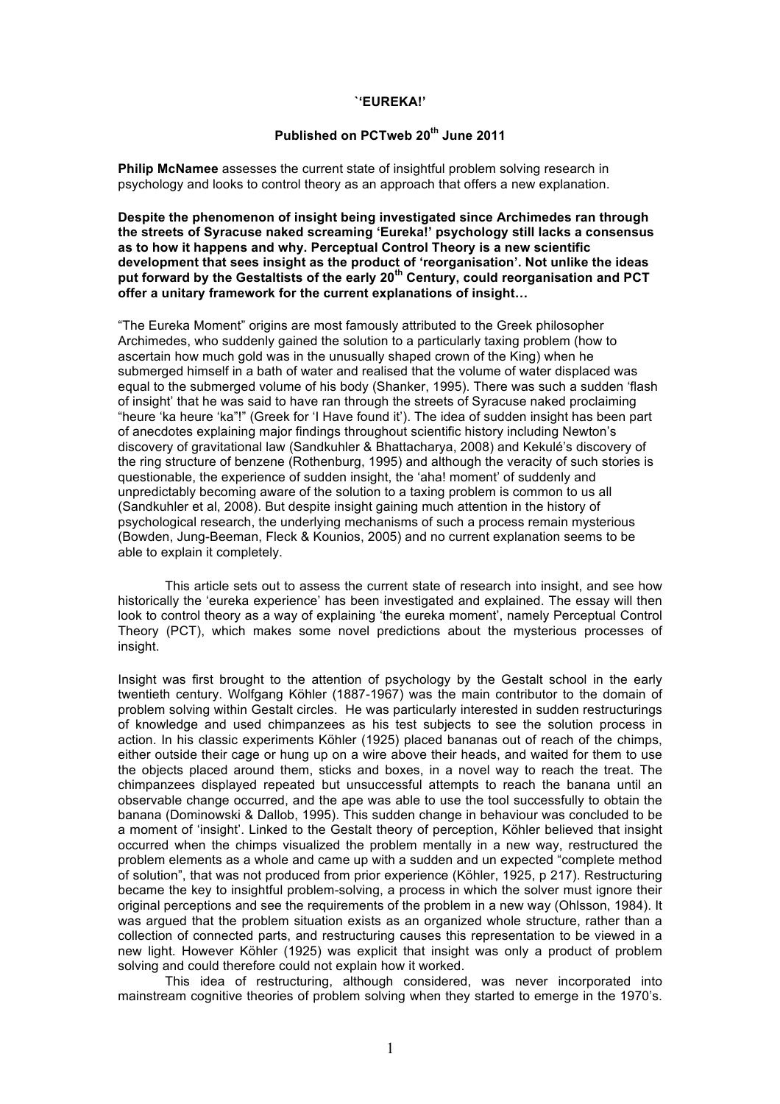## **`'EUREKA!'**

## **Published on PCTweb 20th June 2011**

**Philip McNamee** assesses the current state of insightful problem solving research in psychology and looks to control theory as an approach that offers a new explanation.

**Despite the phenomenon of insight being investigated since Archimedes ran through the streets of Syracuse naked screaming 'Eureka!' psychology still lacks a consensus as to how it happens and why. Perceptual Control Theory is a new scientific development that sees insight as the product of 'reorganisation'. Not unlike the ideas put forward by the Gestaltists of the early 20th Century, could reorganisation and PCT offer a unitary framework for the current explanations of insight…**

"The Eureka Moment" origins are most famously attributed to the Greek philosopher Archimedes, who suddenly gained the solution to a particularly taxing problem (how to ascertain how much gold was in the unusually shaped crown of the King) when he submerged himself in a bath of water and realised that the volume of water displaced was equal to the submerged volume of his body (Shanker, 1995). There was such a sudden 'flash of insight' that he was said to have ran through the streets of Syracuse naked proclaiming "heure 'ka heure 'ka"!" (Greek for 'I Have found it'). The idea of sudden insight has been part of anecdotes explaining major findings throughout scientific history including Newton's discovery of gravitational law (Sandkuhler & Bhattacharya, 2008) and Kekulé's discovery of the ring structure of benzene (Rothenburg, 1995) and although the veracity of such stories is questionable, the experience of sudden insight, the 'aha! moment' of suddenly and unpredictably becoming aware of the solution to a taxing problem is common to us all (Sandkuhler et al, 2008). But despite insight gaining much attention in the history of psychological research, the underlying mechanisms of such a process remain mysterious (Bowden, Jung-Beeman, Fleck & Kounios, 2005) and no current explanation seems to be able to explain it completely.

This article sets out to assess the current state of research into insight, and see how historically the 'eureka experience' has been investigated and explained. The essay will then look to control theory as a way of explaining 'the eureka moment', namely Perceptual Control Theory (PCT), which makes some novel predictions about the mysterious processes of insight.

Insight was first brought to the attention of psychology by the Gestalt school in the early twentieth century. Wolfgang Köhler (1887-1967) was the main contributor to the domain of problem solving within Gestalt circles. He was particularly interested in sudden restructurings of knowledge and used chimpanzees as his test subjects to see the solution process in action. In his classic experiments Köhler (1925) placed bananas out of reach of the chimps, either outside their cage or hung up on a wire above their heads, and waited for them to use the objects placed around them, sticks and boxes, in a novel way to reach the treat. The chimpanzees displayed repeated but unsuccessful attempts to reach the banana until an observable change occurred, and the ape was able to use the tool successfully to obtain the banana (Dominowski & Dallob, 1995). This sudden change in behaviour was concluded to be a moment of 'insight'. Linked to the Gestalt theory of perception, Köhler believed that insight occurred when the chimps visualized the problem mentally in a new way, restructured the problem elements as a whole and came up with a sudden and un expected "complete method of solution", that was not produced from prior experience (Köhler, 1925, p 217). Restructuring became the key to insightful problem-solving, a process in which the solver must ignore their original perceptions and see the requirements of the problem in a new way (Ohlsson, 1984). It was argued that the problem situation exists as an organized whole structure, rather than a collection of connected parts, and restructuring causes this representation to be viewed in a new light. However Köhler (1925) was explicit that insight was only a product of problem solving and could therefore could not explain how it worked.

This idea of restructuring, although considered, was never incorporated into mainstream cognitive theories of problem solving when they started to emerge in the 1970's.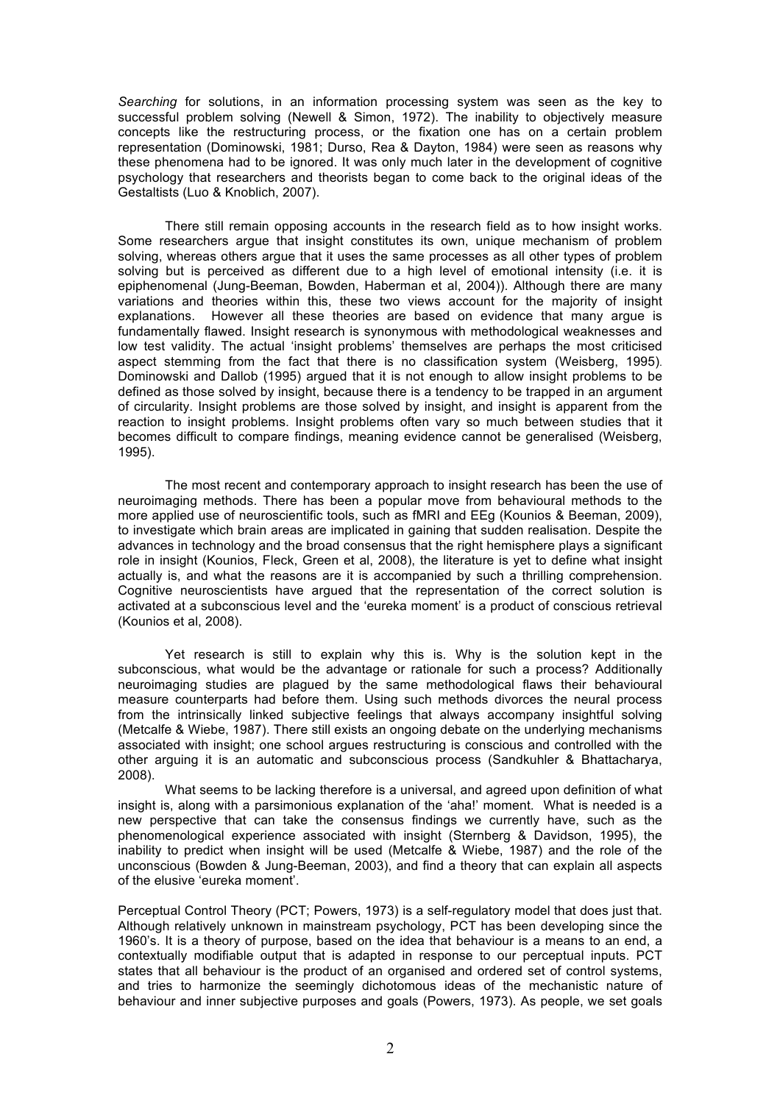*Searching* for solutions, in an information processing system was seen as the key to successful problem solving (Newell & Simon, 1972). The inability to objectively measure concepts like the restructuring process, or the fixation one has on a certain problem representation (Dominowski, 1981; Durso, Rea & Dayton, 1984) were seen as reasons why these phenomena had to be ignored. It was only much later in the development of cognitive psychology that researchers and theorists began to come back to the original ideas of the Gestaltists (Luo & Knoblich, 2007).

There still remain opposing accounts in the research field as to how insight works. Some researchers argue that insight constitutes its own, unique mechanism of problem solving, whereas others argue that it uses the same processes as all other types of problem solving but is perceived as different due to a high level of emotional intensity (i.e. it is epiphenomenal (Jung-Beeman, Bowden, Haberman et al, 2004)). Although there are many variations and theories within this, these two views account for the majority of insight explanations. However all these theories are based on evidence that many argue is fundamentally flawed. Insight research is synonymous with methodological weaknesses and low test validity. The actual 'insight problems' themselves are perhaps the most criticised aspect stemming from the fact that there is no classification system (Weisberg, 1995). Dominowski and Dallob (1995) argued that it is not enough to allow insight problems to be defined as those solved by insight, because there is a tendency to be trapped in an argument of circularity. Insight problems are those solved by insight, and insight is apparent from the reaction to insight problems. Insight problems often vary so much between studies that it becomes difficult to compare findings, meaning evidence cannot be generalised (Weisberg, 1995).

The most recent and contemporary approach to insight research has been the use of neuroimaging methods. There has been a popular move from behavioural methods to the more applied use of neuroscientific tools, such as fMRI and EEg (Kounios & Beeman, 2009), to investigate which brain areas are implicated in gaining that sudden realisation. Despite the advances in technology and the broad consensus that the right hemisphere plays a significant role in insight (Kounios, Fleck, Green et al, 2008), the literature is yet to define what insight actually is, and what the reasons are it is accompanied by such a thrilling comprehension. Cognitive neuroscientists have argued that the representation of the correct solution is activated at a subconscious level and the 'eureka moment' is a product of conscious retrieval (Kounios et al, 2008).

Yet research is still to explain why this is. Why is the solution kept in the subconscious, what would be the advantage or rationale for such a process? Additionally neuroimaging studies are plagued by the same methodological flaws their behavioural measure counterparts had before them. Using such methods divorces the neural process from the intrinsically linked subjective feelings that always accompany insightful solving (Metcalfe & Wiebe, 1987). There still exists an ongoing debate on the underlying mechanisms associated with insight; one school argues restructuring is conscious and controlled with the other arguing it is an automatic and subconscious process (Sandkuhler & Bhattacharya, 2008).

What seems to be lacking therefore is a universal, and agreed upon definition of what insight is, along with a parsimonious explanation of the 'aha!' moment. What is needed is a new perspective that can take the consensus findings we currently have, such as the phenomenological experience associated with insight (Sternberg & Davidson, 1995), the inability to predict when insight will be used (Metcalfe & Wiebe, 1987) and the role of the unconscious (Bowden & Jung-Beeman, 2003), and find a theory that can explain all aspects of the elusive 'eureka moment'.

Perceptual Control Theory (PCT; Powers, 1973) is a self-regulatory model that does just that. Although relatively unknown in mainstream psychology, PCT has been developing since the 1960's. It is a theory of purpose, based on the idea that behaviour is a means to an end, a contextually modifiable output that is adapted in response to our perceptual inputs. PCT states that all behaviour is the product of an organised and ordered set of control systems, and tries to harmonize the seemingly dichotomous ideas of the mechanistic nature of behaviour and inner subjective purposes and goals (Powers, 1973). As people, we set goals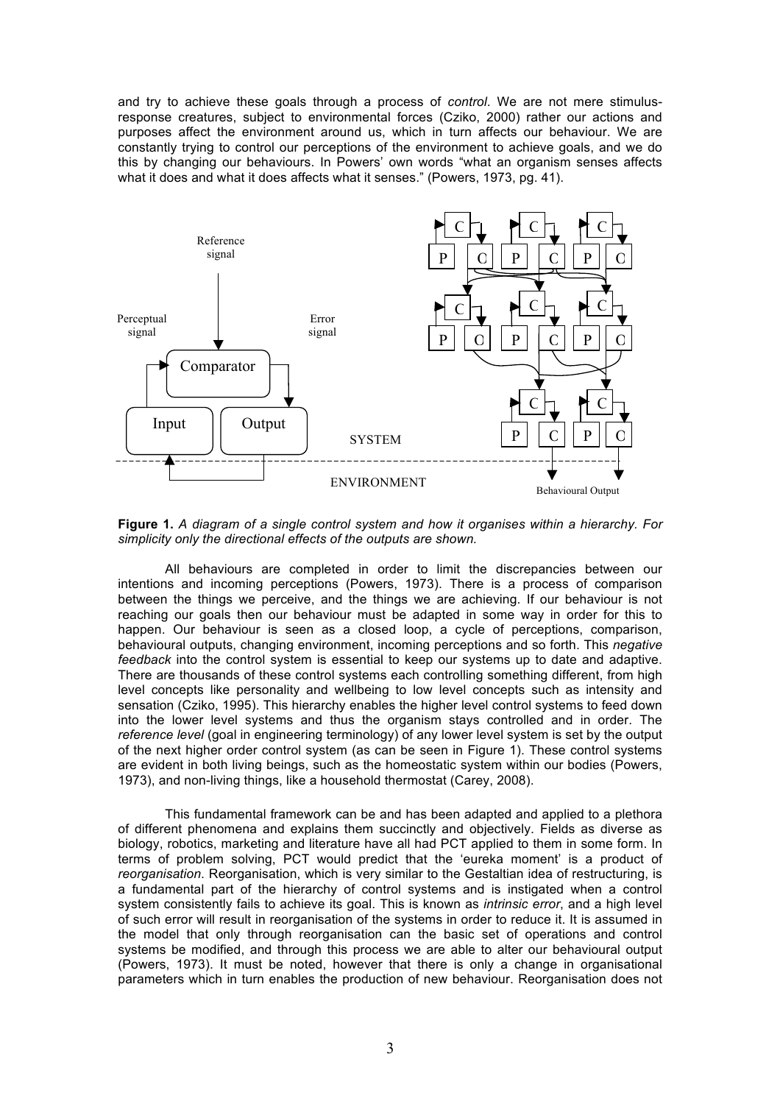and try to achieve these goals through a process of *control*. We are not mere stimulusresponse creatures, subject to environmental forces (Cziko, 2000) rather our actions and purposes affect the environment around us, which in turn affects our behaviour. We are constantly trying to control our perceptions of the environment to achieve goals, and we do this by changing our behaviours. In Powers' own words "what an organism senses affects what it does and what it does affects what it senses." (Powers, 1973, pg. 41).



**Figure 1.** *A diagram of a single control system and how it organises within a hierarchy. For simplicity only the directional effects of the outputs are shown.*

All behaviours are completed in order to limit the discrepancies between our intentions and incoming perceptions (Powers, 1973). There is a process of comparison between the things we perceive, and the things we are achieving. If our behaviour is not reaching our goals then our behaviour must be adapted in some way in order for this to happen. Our behaviour is seen as a closed loop, a cycle of perceptions, comparison, behavioural outputs, changing environment, incoming perceptions and so forth. This *negative feedback* into the control system is essential to keep our systems up to date and adaptive. There are thousands of these control systems each controlling something different, from high level concepts like personality and wellbeing to low level concepts such as intensity and sensation (Cziko, 1995). This hierarchy enables the higher level control systems to feed down into the lower level systems and thus the organism stays controlled and in order. The *reference level* (goal in engineering terminology) of any lower level system is set by the output of the next higher order control system (as can be seen in Figure 1). These control systems are evident in both living beings, such as the homeostatic system within our bodies (Powers, 1973), and non-living things, like a household thermostat (Carey, 2008).

This fundamental framework can be and has been adapted and applied to a plethora of different phenomena and explains them succinctly and objectively. Fields as diverse as biology, robotics, marketing and literature have all had PCT applied to them in some form. In terms of problem solving, PCT would predict that the 'eureka moment' is a product of *reorganisation*. Reorganisation, which is very similar to the Gestaltian idea of restructuring, is a fundamental part of the hierarchy of control systems and is instigated when a control system consistently fails to achieve its goal. This is known as *intrinsic error*, and a high level of such error will result in reorganisation of the systems in order to reduce it. It is assumed in the model that only through reorganisation can the basic set of operations and control systems be modified, and through this process we are able to alter our behavioural output (Powers, 1973). It must be noted, however that there is only a change in organisational parameters which in turn enables the production of new behaviour. Reorganisation does not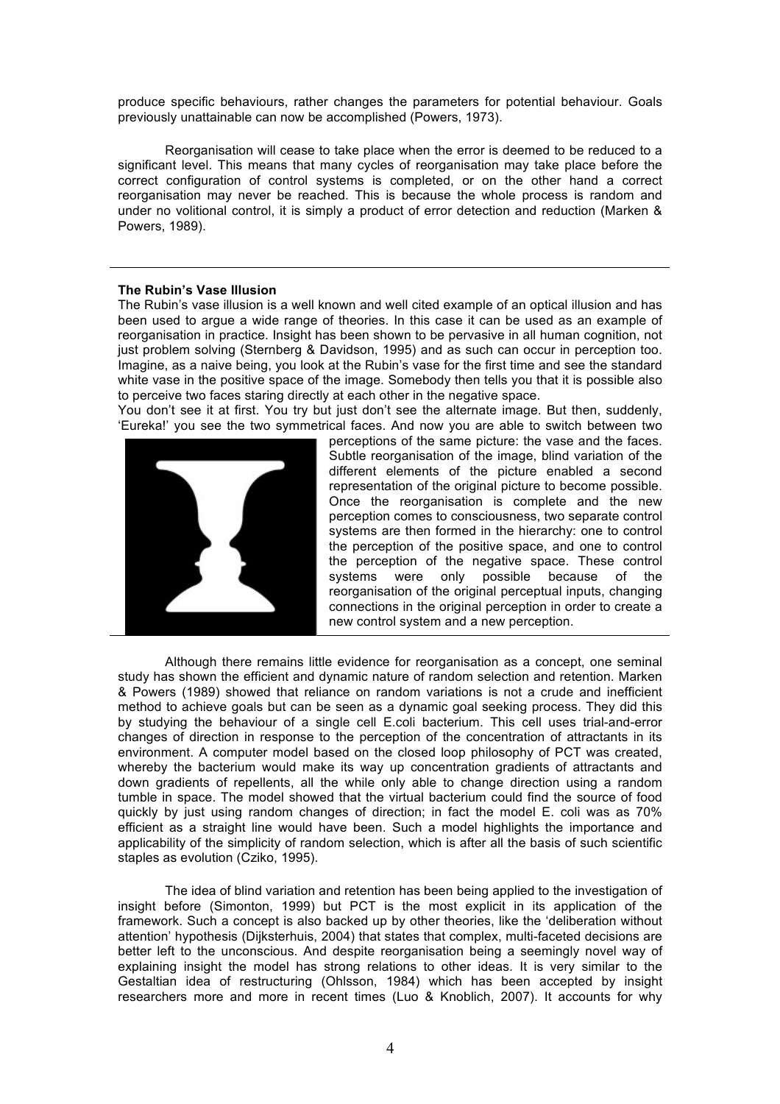produce specific behaviours, rather changes the parameters for potential behaviour. Goals previously unattainable can now be accomplished (Powers, 1973).

Reorganisation will cease to take place when the error is deemed to be reduced to a significant level. This means that many cycles of reorganisation may take place before the correct configuration of control systems is completed, or on the other hand a correct reorganisation may never be reached. This is because the whole process is random and under no volitional control, it is simply a product of error detection and reduction (Marken & Powers, 1989).

## **The Rubin's Vase Illusion**

The Rubin's vase illusion is a well known and well cited example of an optical illusion and has been used to argue a wide range of theories. In this case it can be used as an example of reorganisation in practice. Insight has been shown to be pervasive in all human cognition, not just problem solving (Sternberg & Davidson, 1995) and as such can occur in perception too. Imagine, as a naive being, you look at the Rubin's vase for the first time and see the standard white vase in the positive space of the image. Somebody then tells you that it is possible also to perceive two faces staring directly at each other in the negative space.

You don't see it at first. You try but just don't see the alternate image. But then, suddenly, 'Eureka!' you see the two symmetrical faces. And now you are able to switch between two



perceptions of the same picture: the vase and the faces. Subtle reorganisation of the image, blind variation of the different elements of the picture enabled a second representation of the original picture to become possible. Once the reorganisation is complete and the new perception comes to consciousness, two separate control systems are then formed in the hierarchy: one to control the perception of the positive space, and one to control the perception of the negative space. These control systems were only possible because of the reorganisation of the original perceptual inputs, changing connections in the original perception in order to create a new control system and a new perception.

Although there remains little evidence for reorganisation as a concept, one seminal study has shown the efficient and dynamic nature of random selection and retention. Marken & Powers (1989) showed that reliance on random variations is not a crude and inefficient method to achieve goals but can be seen as a dynamic goal seeking process. They did this by studying the behaviour of a single cell E.coli bacterium. This cell uses trial-and-error changes of direction in response to the perception of the concentration of attractants in its environment. A computer model based on the closed loop philosophy of PCT was created, whereby the bacterium would make its way up concentration gradients of attractants and down gradients of repellents, all the while only able to change direction using a random tumble in space. The model showed that the virtual bacterium could find the source of food quickly by just using random changes of direction; in fact the model E. coli was as 70% efficient as a straight line would have been. Such a model highlights the importance and applicability of the simplicity of random selection, which is after all the basis of such scientific staples as evolution (Cziko, 1995).

The idea of blind variation and retention has been being applied to the investigation of insight before (Simonton, 1999) but PCT is the most explicit in its application of the framework. Such a concept is also backed up by other theories, like the 'deliberation without attention' hypothesis (Dijksterhuis, 2004) that states that complex, multi-faceted decisions are better left to the unconscious. And despite reorganisation being a seemingly novel way of explaining insight the model has strong relations to other ideas. It is very similar to the Gestaltian idea of restructuring (Ohlsson, 1984) which has been accepted by insight researchers more and more in recent times (Luo & Knoblich, 2007). It accounts for why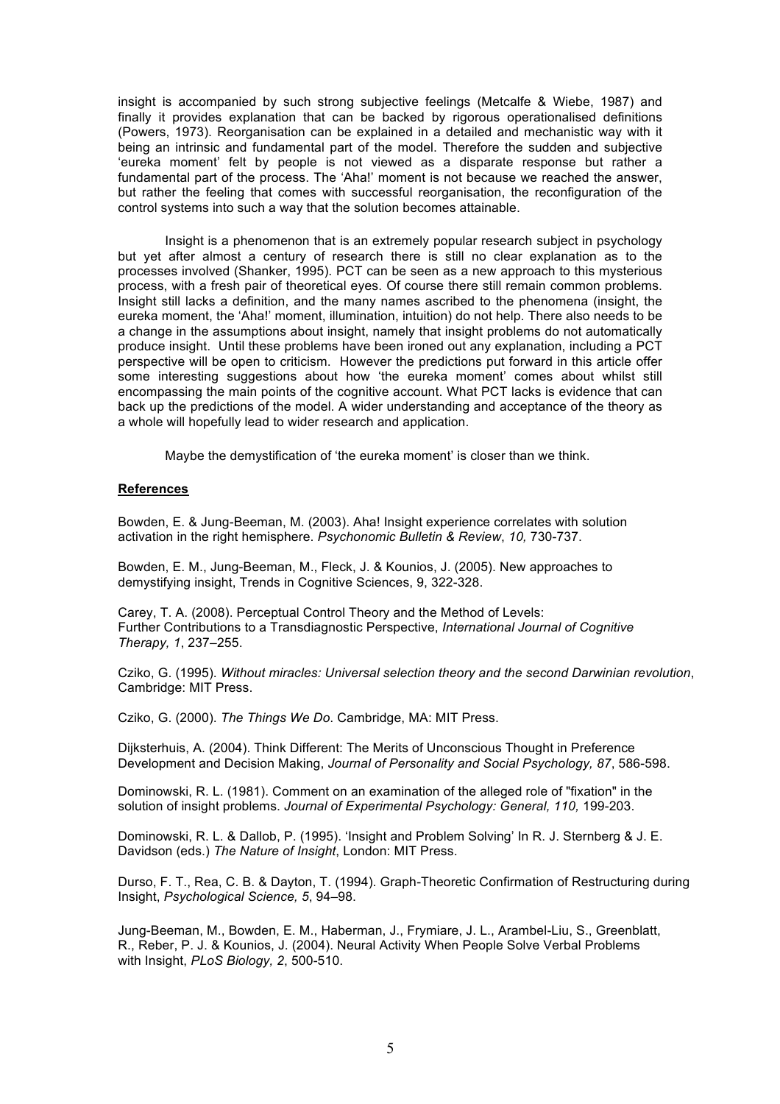insight is accompanied by such strong subjective feelings (Metcalfe & Wiebe, 1987) and finally it provides explanation that can be backed by rigorous operationalised definitions (Powers, 1973). Reorganisation can be explained in a detailed and mechanistic way with it being an intrinsic and fundamental part of the model. Therefore the sudden and subjective 'eureka moment' felt by people is not viewed as a disparate response but rather a fundamental part of the process. The 'Aha!' moment is not because we reached the answer, but rather the feeling that comes with successful reorganisation, the reconfiguration of the control systems into such a way that the solution becomes attainable.

Insight is a phenomenon that is an extremely popular research subject in psychology but yet after almost a century of research there is still no clear explanation as to the processes involved (Shanker, 1995). PCT can be seen as a new approach to this mysterious process, with a fresh pair of theoretical eyes. Of course there still remain common problems. Insight still lacks a definition, and the many names ascribed to the phenomena (insight, the eureka moment, the 'Aha!' moment, illumination, intuition) do not help. There also needs to be a change in the assumptions about insight, namely that insight problems do not automatically produce insight. Until these problems have been ironed out any explanation, including a PCT perspective will be open to criticism. However the predictions put forward in this article offer some interesting suggestions about how 'the eureka moment' comes about whilst still encompassing the main points of the cognitive account. What PCT lacks is evidence that can back up the predictions of the model. A wider understanding and acceptance of the theory as a whole will hopefully lead to wider research and application.

Maybe the demystification of 'the eureka moment' is closer than we think.

## **References**

Bowden, E. & Jung-Beeman, M. (2003). Aha! Insight experience correlates with solution activation in the right hemisphere. *Psychonomic Bulletin & Review*, *10,* 730-737.

Bowden, E. M., Jung-Beeman, M., Fleck, J. & Kounios, J. (2005). New approaches to demystifying insight, Trends in Cognitive Sciences, 9, 322-328.

Carey, T. A. (2008). Perceptual Control Theory and the Method of Levels: Further Contributions to a Transdiagnostic Perspective, *International Journal of Cognitive Therapy, 1*, 237–255.

Cziko, G. (1995). *Without miracles: Universal selection theory and the second Darwinian revolution*, Cambridge: MIT Press.

Cziko, G. (2000). *The Things We Do*. Cambridge, MA: MIT Press.

Dijksterhuis, A. (2004). Think Different: The Merits of Unconscious Thought in Preference Development and Decision Making, *Journal of Personality and Social Psychology, 87*, 586-598.

Dominowski, R. L. (1981). Comment on an examination of the alleged role of "fixation" in the solution of insight problems. *Journal of Experimental Psychology: General, 110,* 199-203.

Dominowski, R. L. & Dallob, P. (1995). 'Insight and Problem Solving' In R. J. Sternberg & J. E. Davidson (eds.) *The Nature of Insight*, London: MIT Press.

Durso, F. T., Rea, C. B. & Dayton, T. (1994). Graph-Theoretic Confirmation of Restructuring during Insight, *Psychological Science, 5*, 94–98.

Jung-Beeman, M., Bowden, E. M., Haberman, J., Frymiare, J. L., Arambel-Liu, S., Greenblatt, R., Reber, P. J. & Kounios, J. (2004). Neural Activity When People Solve Verbal Problems with Insight, *PLoS Biology, 2*, 500-510.